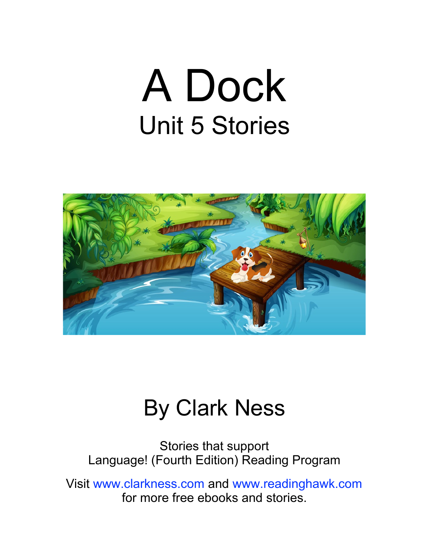# A Dock Unit 5 Stories



#### By Clark Ness

Stories that support Language! (Fourth Edition) Reading Program

Visit [www.clarkness.com](http://www.clarkness.com) and [www.readinghawk.com](http://www.readinghawk.com) for more free ebooks and stories.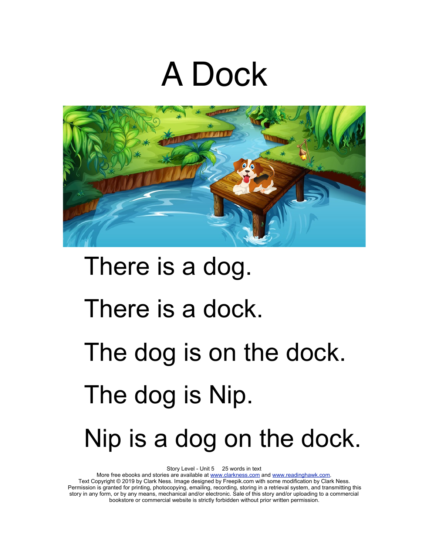## A Dock



# There is a dog. There is a dock. The dog is on the dock. The dog is Nip. Nip is a dog on the dock.

Story Level - Unit 5 25 words in text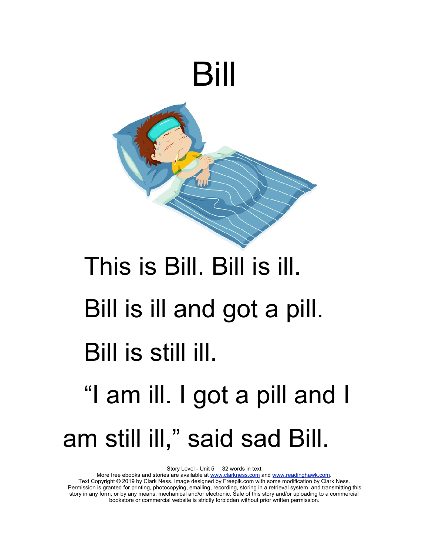

# This is Bill. Bill is ill. Bill is ill and got a pill. Bill is still ill. "I am ill. I got a pill and I am still ill," said sad Bill.

Story Level - Unit 5 32 words in text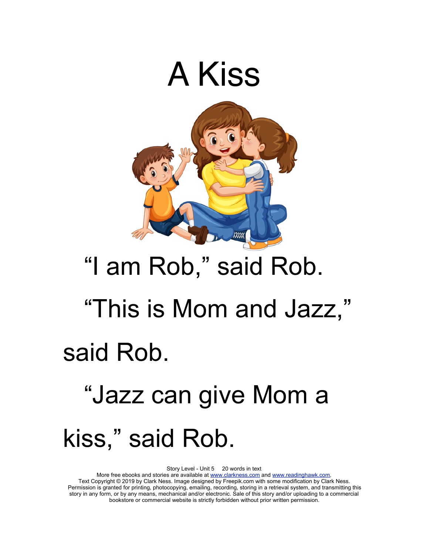

### "I am Rob," said Rob. "This is Mom and Jazz,"

### said Rob.

## "Jazz can give Mom a kiss," said Rob.

Story Level - Unit 5 20 words in text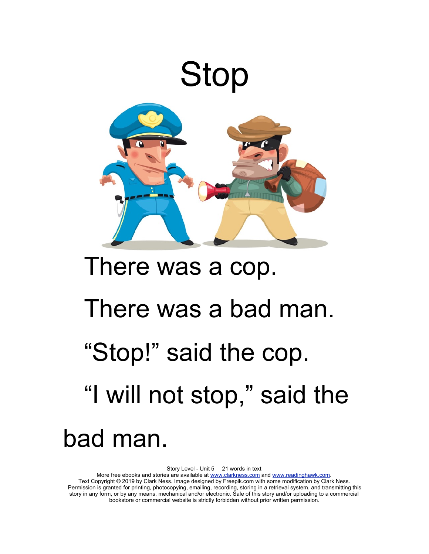

### There was a cop.

#### There was a bad man.

### "Stop!" said the cop. "I will not stop," said the

#### bad man.

Story Level - Unit 5 21 words in text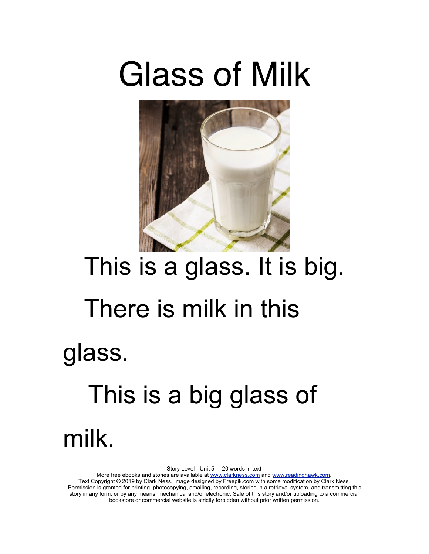## Glass of Milk



# This is a glass. It is big. There is milk in this glass. This is a big glass of

milk.

Story Level - Unit 5 20 words in text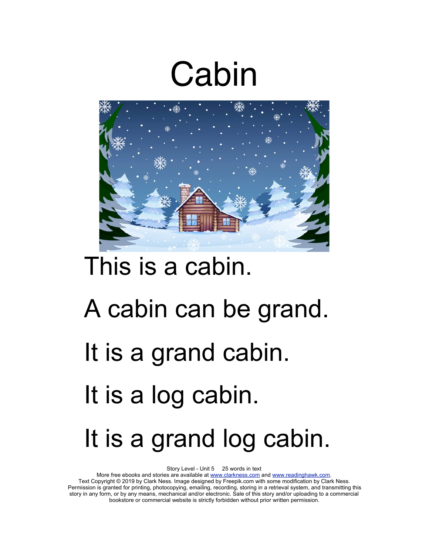## Cabin



### This is a cabin.

# A cabin can be grand. It is a grand cabin. It is a log cabin. It is a grand log cabin.

Story Level - Unit 5 25 words in text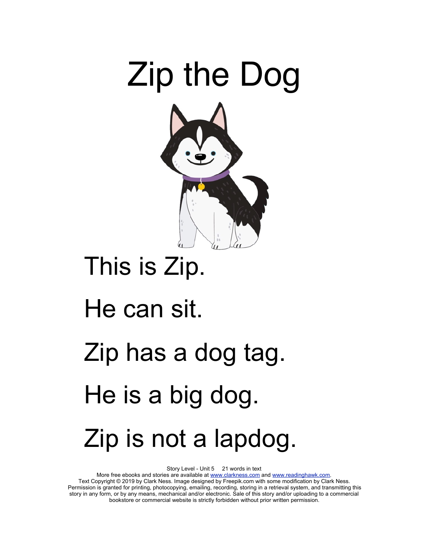

### This is Zip.

#### He can sit.

# Zip has a dog tag. He is a big dog. Zip is not a lapdog.

Story Level - Unit 5 21 words in text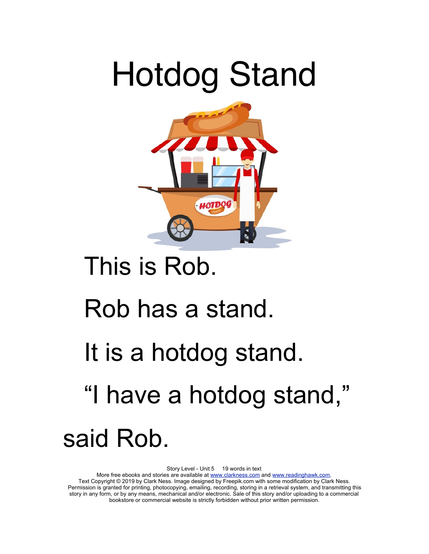# Hotdog Stand



### This is Rob.

#### Rob has a stand.

### It is a hotdog stand.

### "I have a hotdog stand,"

said Rob.

Story Level - Unit 5 19 words in text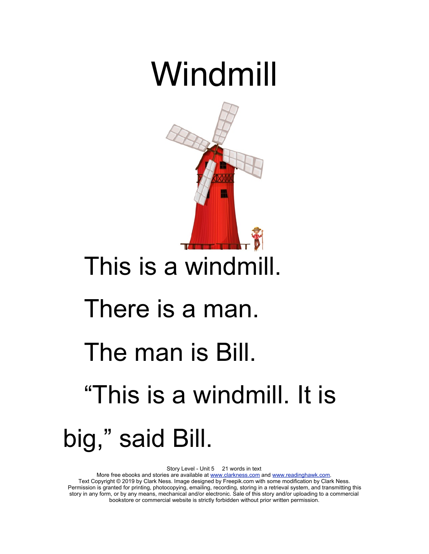## Windmill



### This is a windmill.

#### There is a man.

### The man is Bill.

## "This is a windmill. It is big," said Bill.

Story Level - Unit 5 21 words in text